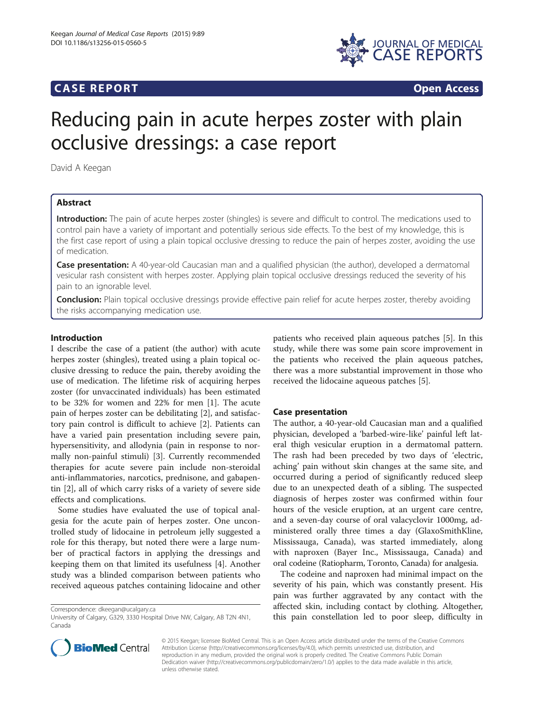# **CASE REPORT CASE REPORT**



# Reducing pain in acute herpes zoster with plain occlusive dressings: a case report

David A Keegan

# Abstract

Introduction: The pain of acute herpes zoster (shingles) is severe and difficult to control. The medications used to control pain have a variety of important and potentially serious side effects. To the best of my knowledge, this is the first case report of using a plain topical occlusive dressing to reduce the pain of herpes zoster, avoiding the use of medication.

Case presentation: A 40-year-old Caucasian man and a qualified physician (the author), developed a dermatomal vesicular rash consistent with herpes zoster. Applying plain topical occlusive dressings reduced the severity of his pain to an ignorable level.

**Conclusion:** Plain topical occlusive dressings provide effective pain relief for acute herpes zoster, thereby avoiding the risks accompanying medication use.

# Introduction

I describe the case of a patient (the author) with acute herpes zoster (shingles), treated using a plain topical occlusive dressing to reduce the pain, thereby avoiding the use of medication. The lifetime risk of acquiring herpes zoster (for unvaccinated individuals) has been estimated to be 32% for women and 22% for men [\[1](#page-2-0)]. The acute pain of herpes zoster can be debilitating [[2\]](#page-2-0), and satisfactory pain control is difficult to achieve [[2\]](#page-2-0). Patients can have a varied pain presentation including severe pain, hypersensitivity, and allodynia (pain in response to normally non-painful stimuli) [[3\]](#page-2-0). Currently recommended therapies for acute severe pain include non-steroidal anti-inflammatories, narcotics, prednisone, and gabapentin [\[2](#page-2-0)], all of which carry risks of a variety of severe side effects and complications.

Some studies have evaluated the use of topical analgesia for the acute pain of herpes zoster. One uncontrolled study of lidocaine in petroleum jelly suggested a role for this therapy, but noted there were a large number of practical factors in applying the dressings and keeping them on that limited its usefulness [[4\]](#page-2-0). Another study was a blinded comparison between patients who received aqueous patches containing lidocaine and other

Correspondence: [dkeegan@ucalgary.ca](mailto:dkeegan@ucalgary.ca)

patients who received plain aqueous patches [\[5](#page-2-0)]. In this study, while there was some pain score improvement in the patients who received the plain aqueous patches, there was a more substantial improvement in those who received the lidocaine aqueous patches [[5\]](#page-2-0).

# Case presentation

The author, a 40-year-old Caucasian man and a qualified physician, developed a 'barbed-wire-like' painful left lateral thigh vesicular eruption in a dermatomal pattern. The rash had been preceded by two days of 'electric, aching' pain without skin changes at the same site, and occurred during a period of significantly reduced sleep due to an unexpected death of a sibling. The suspected diagnosis of herpes zoster was confirmed within four hours of the vesicle eruption, at an urgent care centre, and a seven-day course of oral valacyclovir 1000mg, administered orally three times a day (GlaxoSmithKline, Mississauga, Canada), was started immediately, along with naproxen (Bayer Inc., Mississauga, Canada) and oral codeine (Ratiopharm, Toronto, Canada) for analgesia.

The codeine and naproxen had minimal impact on the severity of his pain, which was constantly present. His pain was further aggravated by any contact with the affected skin, including contact by clothing. Altogether, this pain constellation led to poor sleep, difficulty in



© 2015 Keegan; licensee BioMed Central. This is an Open Access article distributed under the terms of the Creative Commons Attribution License (<http://creativecommons.org/licenses/by/4.0>), which permits unrestricted use, distribution, and reproduction in any medium, provided the original work is properly credited. The Creative Commons Public Domain Dedication waiver [\(http://creativecommons.org/publicdomain/zero/1.0/](http://creativecommons.org/publicdomain/zero/1.0/)) applies to the data made available in this article, unless otherwise stated.

University of Calgary, G329, 3330 Hospital Drive NW, Calgary, AB T2N 4N1, Canada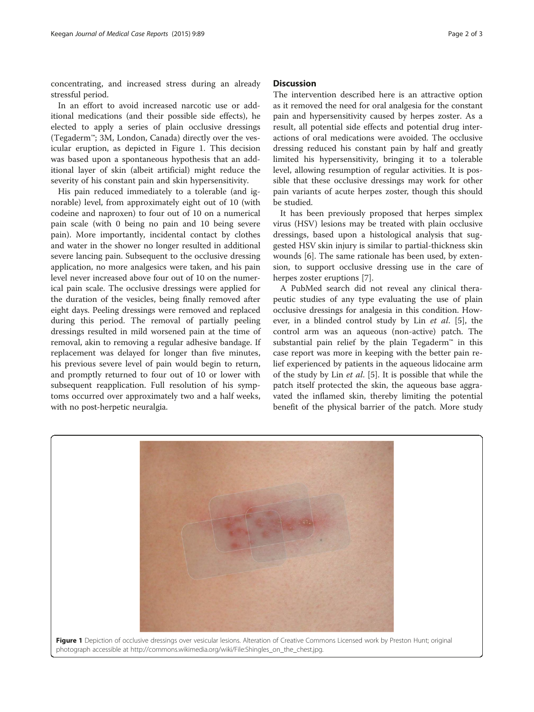concentrating, and increased stress during an already stressful period.

In an effort to avoid increased narcotic use or additional medications (and their possible side effects), he elected to apply a series of plain occlusive dressings (Tegaderm™; 3M, London, Canada) directly over the vesicular eruption, as depicted in Figure 1. This decision was based upon a spontaneous hypothesis that an additional layer of skin (albeit artificial) might reduce the severity of his constant pain and skin hypersensitivity.

His pain reduced immediately to a tolerable (and ignorable) level, from approximately eight out of 10 (with codeine and naproxen) to four out of 10 on a numerical pain scale (with 0 being no pain and 10 being severe pain). More importantly, incidental contact by clothes and water in the shower no longer resulted in additional severe lancing pain. Subsequent to the occlusive dressing application, no more analgesics were taken, and his pain level never increased above four out of 10 on the numerical pain scale. The occlusive dressings were applied for the duration of the vesicles, being finally removed after eight days. Peeling dressings were removed and replaced during this period. The removal of partially peeling dressings resulted in mild worsened pain at the time of removal, akin to removing a regular adhesive bandage. If replacement was delayed for longer than five minutes, his previous severe level of pain would begin to return, and promptly returned to four out of 10 or lower with subsequent reapplication. Full resolution of his symptoms occurred over approximately two and a half weeks, with no post-herpetic neuralgia.

#### **Discussion**

The intervention described here is an attractive option as it removed the need for oral analgesia for the constant pain and hypersensitivity caused by herpes zoster. As a result, all potential side effects and potential drug interactions of oral medications were avoided. The occlusive dressing reduced his constant pain by half and greatly limited his hypersensitivity, bringing it to a tolerable level, allowing resumption of regular activities. It is possible that these occlusive dressings may work for other pain variants of acute herpes zoster, though this should be studied.

It has been previously proposed that herpes simplex virus (HSV) lesions may be treated with plain occlusive dressings, based upon a histological analysis that suggested HSV skin injury is similar to partial-thickness skin wounds [[6\]](#page-2-0). The same rationale has been used, by extension, to support occlusive dressing use in the care of herpes zoster eruptions [[7\]](#page-2-0).

A PubMed search did not reveal any clinical therapeutic studies of any type evaluating the use of plain occlusive dressings for analgesia in this condition. However, in a blinded control study by Lin et al. [[5](#page-2-0)], the control arm was an aqueous (non-active) patch. The substantial pain relief by the plain Tegaderm™ in this case report was more in keeping with the better pain relief experienced by patients in the aqueous lidocaine arm of the study by Lin et al. [\[5](#page-2-0)]. It is possible that while the patch itself protected the skin, the aqueous base aggravated the inflamed skin, thereby limiting the potential benefit of the physical barrier of the patch. More study